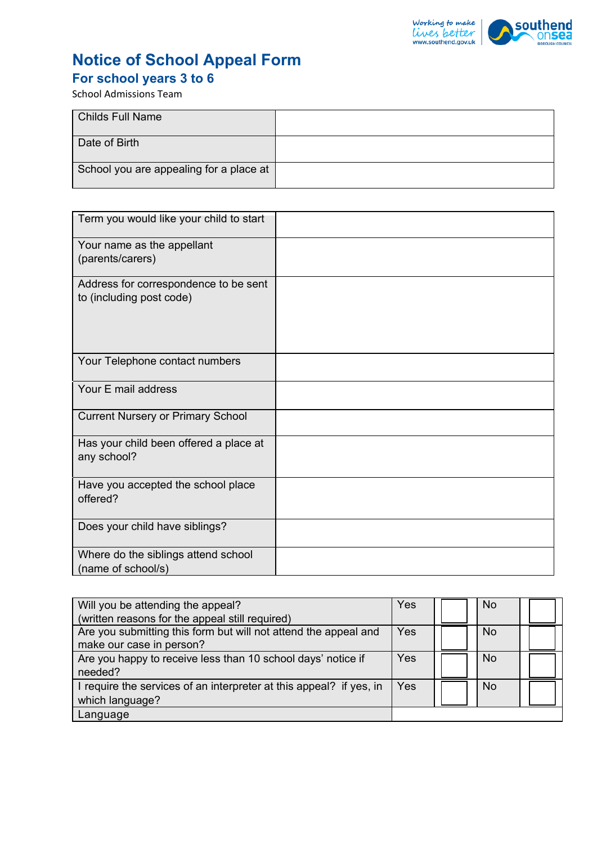

## **Notice of School Appeal Form**

# **For school years 3 to 6**

School Admissions Team

| <b>Childs Full Name</b>                 |  |
|-----------------------------------------|--|
| Date of Birth                           |  |
| School you are appealing for a place at |  |

| Term you would like your child to start                           |  |
|-------------------------------------------------------------------|--|
| Your name as the appellant<br>(parents/carers)                    |  |
| Address for correspondence to be sent<br>to (including post code) |  |
| Your Telephone contact numbers                                    |  |
| Your E mail address                                               |  |
| <b>Current Nursery or Primary School</b>                          |  |
| Has your child been offered a place at<br>any school?             |  |
| Have you accepted the school place<br>offered?                    |  |
| Does your child have siblings?                                    |  |
| Where do the siblings attend school<br>(name of school/s)         |  |

| Will you be attending the appeal?                                   | Yes        | <b>No</b> |  |
|---------------------------------------------------------------------|------------|-----------|--|
| (written reasons for the appeal still required)                     |            |           |  |
| Are you submitting this form but will not attend the appeal and     | Yes        | <b>No</b> |  |
| make our case in person?                                            |            |           |  |
| Are you happy to receive less than 10 school days' notice if        | <b>Yes</b> | No.       |  |
| needed?                                                             |            |           |  |
| I require the services of an interpreter at this appeal? if yes, in | Yes        | No.       |  |
| which language?                                                     |            |           |  |
| Language                                                            |            |           |  |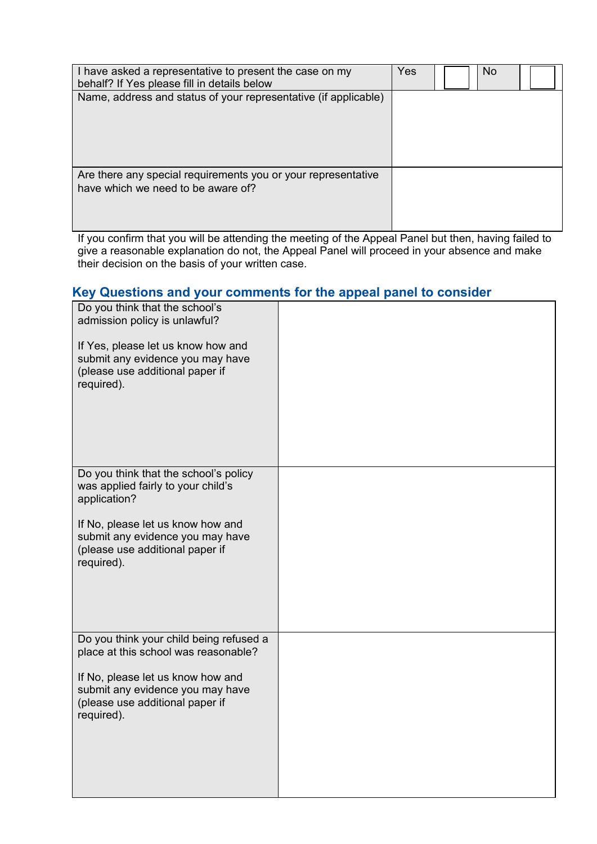| I have asked a representative to present the case on my<br>behalf? If Yes please fill in details below | Yes | No. |  |
|--------------------------------------------------------------------------------------------------------|-----|-----|--|
| Name, address and status of your representative (if applicable)                                        |     |     |  |
| Are there any special requirements you or your representative<br>have which we need to be aware of?    |     |     |  |

If you confirm that you will be attending the meeting of the Appeal Panel but then, having failed to give a reasonable explanation do not, the Appeal Panel will proceed in your absence and make their decision on the basis of your written case.

### **Key Questions and your comments for the appeal panel to consider**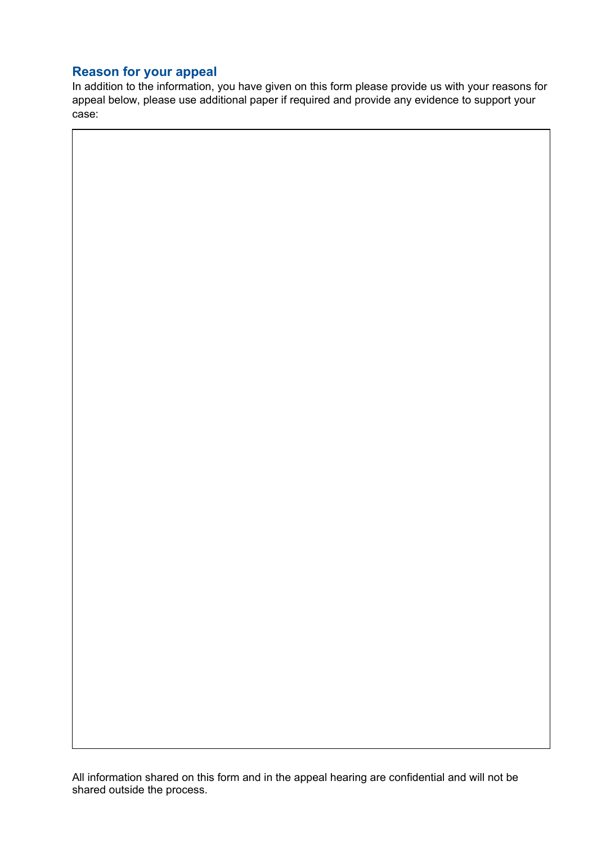### **Reason for your appeal**

In addition to the information, you have given on this form please provide us with your reasons for appeal below, please use additional paper if required and provide any evidence to support your case:

All information shared on this form and in the appeal hearing are confidential and will not be shared outside the process.